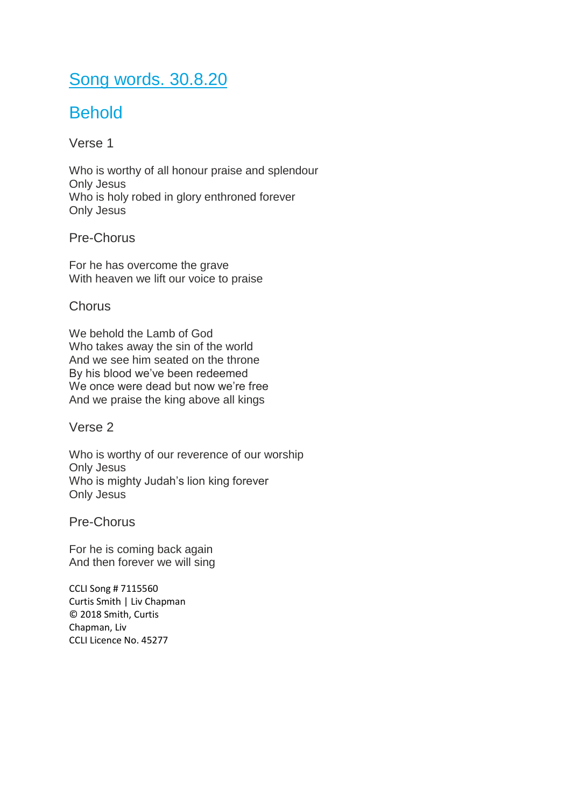## Song words. 30.8.20

# **Behold**

Verse 1

Who is worthy of all honour praise and splendour Only Jesus Who is holy robed in glory enthroned forever Only Jesus

Pre-Chorus

For he has overcome the grave With heaven we lift our voice to praise

### **Chorus**

We behold the Lamb of God Who takes away the sin of the world And we see him seated on the throne By his blood we've been redeemed We once were dead but now we're free And we praise the king above all kings

Verse 2

Who is worthy of our reverence of our worship Only Jesus Who is mighty Judah's lion king forever Only Jesus

Pre-Chorus

For he is coming back again And then forever we will sing

CCLI Song # 7115560 Curtis Smith | Liv Chapman © 2018 Smith, Curtis Chapman, Liv CCLI Licence No. 45277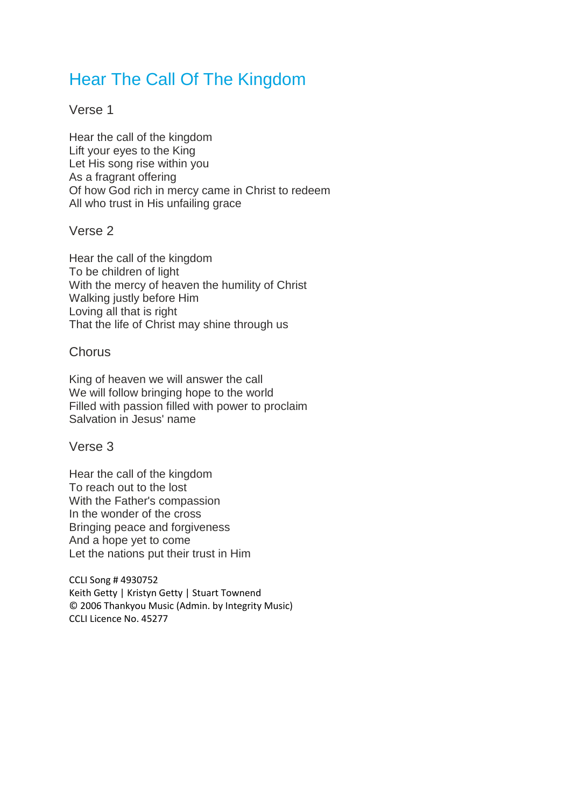### Hear The Call Of The Kingdom

### Verse 1

Hear the call of the kingdom Lift your eyes to the King Let His song rise within you As a fragrant offering Of how God rich in mercy came in Christ to redeem All who trust in His unfailing grace

### Verse 2

Hear the call of the kingdom To be children of light With the mercy of heaven the humility of Christ Walking justly before Him Loving all that is right That the life of Christ may shine through us

### **Chorus**

King of heaven we will answer the call We will follow bringing hope to the world Filled with passion filled with power to proclaim Salvation in Jesus' name

Verse 3

Hear the call of the kingdom To reach out to the lost With the Father's compassion In the wonder of the cross Bringing peace and forgiveness And a hope yet to come Let the nations put their trust in Him

CCLI Song # 4930752 Keith Getty | Kristyn Getty | Stuart Townend © 2006 Thankyou Music (Admin. by Integrity Music) CCLI Licence No. 45277